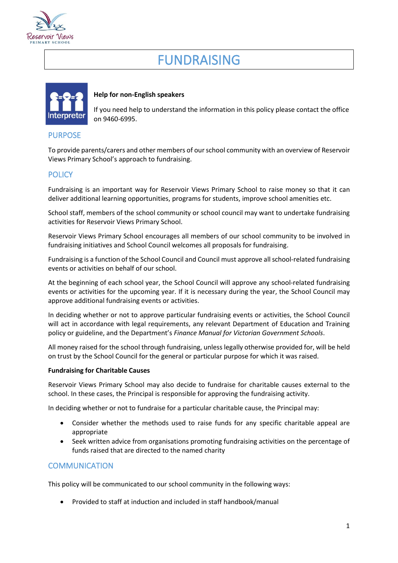

# FUNDRAISING



#### **Help for non-English speakers**

If you need help to understand the information in this policy please contact the office on 9460-6995.

### PURPOSE

To provide parents/carers and other members of our school community with an overview of Reservoir Views Primary School's approach to fundraising.

## **POLICY**

Fundraising is an important way for Reservoir Views Primary School to raise money so that it can deliver additional learning opportunities, programs for students, improve school amenities etc.

School staff, members of the school community or school council may want to undertake fundraising activities for Reservoir Views Primary School.

Reservoir Views Primary School encourages all members of our school community to be involved in fundraising initiatives and School Council welcomes all proposals for fundraising.

Fundraising is a function of the School Council and Council must approve all school-related fundraising events or activities on behalf of our school.

At the beginning of each school year, the School Council will approve any school-related fundraising events or activities for the upcoming year. If it is necessary during the year, the School Council may approve additional fundraising events or activities.

In deciding whether or not to approve particular fundraising events or activities, the School Council will act in accordance with legal requirements, any relevant Department of Education and Training policy or guideline, and the Department's *Finance Manual for Victorian Government Schools*.

All money raised for the school through fundraising, unless legally otherwise provided for, will be held on trust by the School Council for the general or particular purpose for which it was raised.

#### **Fundraising for Charitable Causes**

Reservoir Views Primary School may also decide to fundraise for charitable causes external to the school. In these cases, the Principal is responsible for approving the fundraising activity.

In deciding whether or not to fundraise for a particular charitable cause, the Principal may:

- Consider whether the methods used to raise funds for any specific charitable appeal are appropriate
- Seek written advice from organisations promoting fundraising activities on the percentage of funds raised that are directed to the named charity

## **COMMUNICATION**

This policy will be communicated to our school community in the following ways:

• Provided to staff at induction and included in staff handbook/manual